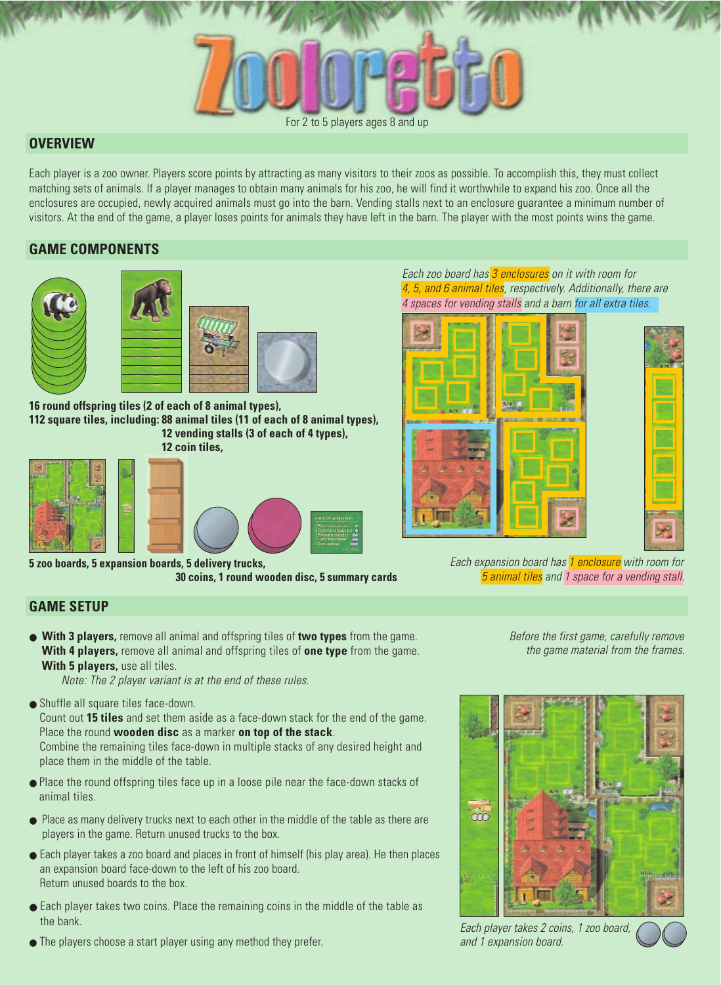#### For 2 to 5 players ages 8 and up

# **OVERVIEW**

Each player is a zoo owner. Players score points by attracting as many visitors to their zoos as possible. To accomplish this, they must collect matching sets of animals. If a player manages to obtain many animals for his zoo, he will find it worthwhile to expand his zoo. Once all the enclosures are occupied, newly acquired animals must go into the barn. Vending stalls next to an enclosure guarantee a minimum number of visitors. At the end of the game, a player loses points for animals they have left in the barn. The player with the most points wins the game.

# **GAME COMPONENTS**



**16 round offspring tiles (2 of each of 8 animal types), 112 square tiles, including: 88 animal tiles (11 of each of 8 animal types), 12 vending stalls (3 of each of 4 types), 12 coin tiles,**



**5 zoo boards, 5 expansion boards, 5 delivery trucks, 30 coins, 1 round wooden disc, 5 summary cards**

Each zoo board has 3 enclosures on it with room for 4, 5, and 6 animal tiles, respectively. Additionally, there are 4 spaces for vending stalls and a barn for all extra tiles.



Each expansion board has **1 enclosure** with room for 5 animal tiles and 1 space for a vending stall.

# **GAME SETUP**

● **With 3 players,** remove all animal and offspring tiles of **two types** from the game. **With 4 players,** remove all animal and offspring tiles of **one type** from the game. **With 5 players,** use all tiles.

Note: The 2 player variant is at the end of these rules.

● Shuffle all square tiles face-down.

Count out **15 tiles** and set them aside as a face-down stack for the end of the game. Place the round **wooden disc** as a marker **on top of the stack**.

Combine the remaining tiles face-down in multiple stacks of any desired height and place them in the middle of the table.

- Place the round offspring tiles face up in a loose pile near the face-down stacks of animal tiles.
- Place as many delivery trucks next to each other in the middle of the table as there are players in the game. Return unused trucks to the box.
- Each player takes a zoo board and places in front of himself (his play area). He then places an expansion board face-down to the left of his zoo board. Return unused boards to the box.
- Each player takes two coins. Place the remaining coins in the middle of the table as the bank.
- The players choose a start player using any method they prefer.

Before the first game, carefully remove the game material from the frames.



Each player takes 2 coins, 1 zoo board, and 1 expansion board.

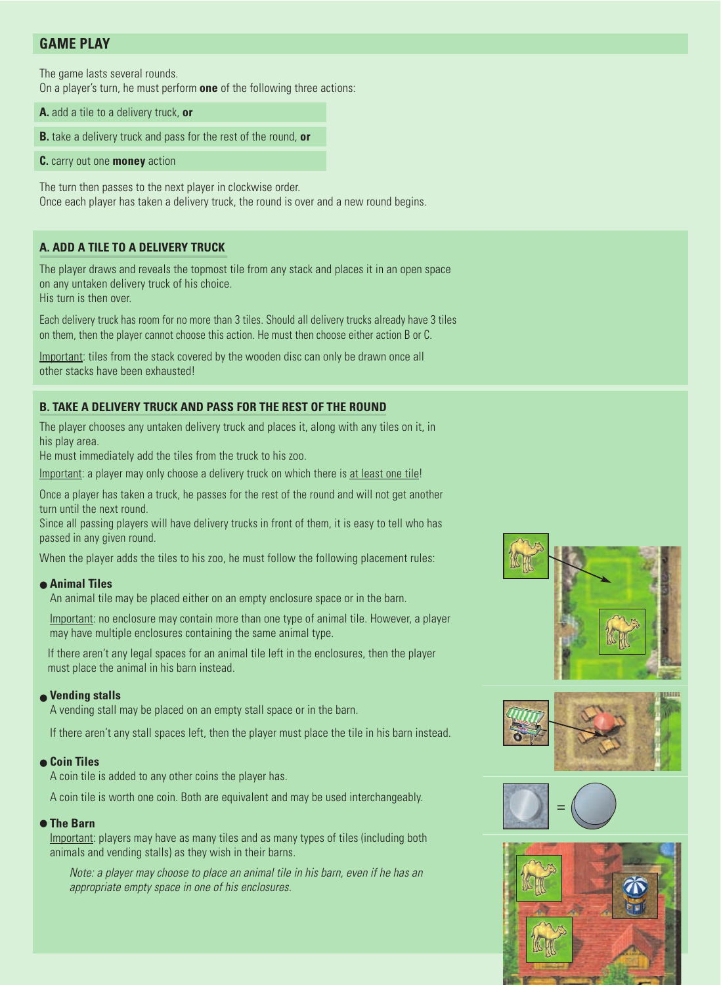## **GAME PLAY**

The game lasts several rounds.

On a player's turn, he must perform **one** of the following three actions:

**A.** add a tile to a delivery truck, **or**

**B.** take a delivery truck and pass for the rest of the round, **or**

**C.** carry out one **money** action

The turn then passes to the next player in clockwise order. Once each player has taken a delivery truck, the round is over and a new round begins.

### **A. ADD A TILE TO A DELIVERY TRUCK**

The player draws and reveals the topmost tile from any stack and places it in an open space on any untaken delivery truck of his choice. His turn is then over.

Each delivery truck has room for no more than 3 tiles. Should all delivery trucks already have 3 tiles on them, then the player cannot choose this action. He must then choose either action B or C.

Important: tiles from the stack covered by the wooden disc can only be drawn once all other stacks have been exhausted!

#### **B. TAKE A DELIVERY TRUCK AND PASS FOR THE REST OF THE ROUND**

The player chooses any untaken delivery truck and places it, along with any tiles on it, in his play area.

He must immediately add the tiles from the truck to his zoo.

Important: a player may only choose a delivery truck on which there is at least one tile!

Once a player has taken a truck, he passes for the rest of the round and will not get another turn until the next round.

Since all passing players will have delivery trucks in front of them, it is easy to tell who has passed in any given round.

When the player adds the tiles to his zoo, he must follow the following placement rules:

#### ● **Animal Tiles**

An animal tile may be placed either on an empty enclosure space or in the barn.

Important: no enclosure may contain more than one type of animal tile. However, a player may have multiple enclosures containing the same animal type.

If there aren't any legal spaces for an animal tile left in the enclosures, then the player must place the animal in his barn instead.

#### ● **Vending stalls**

A vending stall may be placed on an empty stall space or in the barn.

If there aren't any stall spaces left, then the player must place the tile in his barn instead.

#### ● **Coin Tiles**

A coin tile is added to any other coins the player has.

A coin tile is worth one coin. Both are equivalent and may be used interchangeably.

#### ● **The Barn**

Important: players may have as many tiles and as many types of tiles (including both animals and vending stalls) as they wish in their barns.

Note: a player may choose to place an animal tile in his barn, even if he has an appropriate empty space in one of his enclosures.







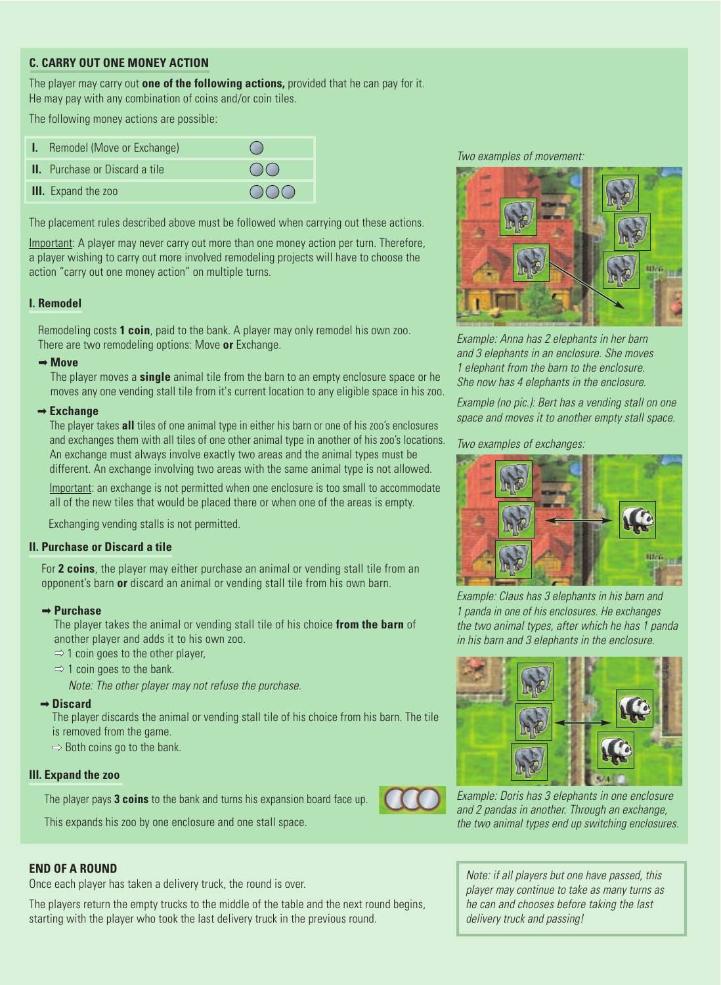#### **C. CARRY OUT ONE MONEY ACTION**

The player may carry out **one of the following actions,** provided that he can pay for it. He may pay with any combination of coins and/or coin tiles.

The following money actions are possible:

| <b>I.</b> Remodel (Move or Exchange)  | $\sqrt{2}$ |
|---------------------------------------|------------|
| <b>II.</b> Purchase or Discard a tile | $($ )( $)$ |
| <b>III.</b> Expand the zoo            | ( )()()    |

The placement rules described above must be followed when carrying out these actions.

Important: A player may never carry out more than one money action per turn. Therefore, a player wishing to carry out more involved remodeling projects will have to choose the action "carry out one money action" on multiple turns.

#### **I. Remodel**

Remodeling costs **1 coin**, paid to the bank. A player may only remodel his own zoo. There are two remodeling options: Move **or** Exchange.

#### ➡ **Move**

The player moves a **single** animal tile from the barn to an empty enclosure space or he moves any one vending stall tile from it's current location to any eligible space in his zoo.

#### ➡ **Exchange**

The player takes **all** tiles of one animal type in either his barn or one of his zoo's enclosures and exchanges them with all tiles of one other animal type in another of his zoo's locations. An exchange must always involve exactly two areas and the animal types must be different. An exchange involving two areas with the same animal type is not allowed.

Important: an exchange is not permitted when one enclosure is too small to accommodate all of the new tiles that would be placed there or when one of the areas is empty.

Exchanging vending stalls is not permitted.

### **II. Purchase or Discard a tile**

For **2 coins**, the player may either purchase an animal or vending stall tile from an opponent's barn **or** discard an animal or vending stall tile from his own barn.

#### ➡ **Purchase**

The player takes the animal or vending stall tile of his choice **from the barn** of another player and adds it to his own zoo.

- $\Rightarrow$  1 coin goes to the other player,
- $\Rightarrow$  1 coin goes to the bank.

Note: The other player may not refuse the purchase.

➡ **Discard**

The player discards the animal or vending stall tile of his choice from his barn. The tile is removed from the game.

 $\Rightarrow$  Both coins go to the bank.

#### **III. Expand the zoo**

The player pays **3 coins** to the bank and turns his expansion board face up.

This expands his zoo by one enclosure and one stall space.

#### **END OF A ROUND**

Once each player has taken a delivery truck, the round is over.

The players return the empty trucks to the middle of the table and the next round begins, starting with the player who took the last delivery truck in the previous round.

Two examples of movement:



Example: Anna has 2 elephants in her barn and 3 elephants in an enclosure. She moves 1 elephant from the barn to the enclosure. She now has 4 elephants in the enclosure.

Example (no pic.): Bert has a vending stall on one space and moves it to another empty stall space.

Two examples of exchanges:



Example: Claus has 3 elephants in his barn and 1 panda in one of his enclosures. He exchanges the two animal types, after which he has 1 panda in his barn and 3 elephants in the enclosure.



Example: Doris has 3 elephants in one enclosure and 2 pandas in another. Through an exchange, the two animal types end up switching enclosures.

Note: if all players but one have passed, this player may continue to take as many turns as he can and chooses before taking the last delivery truck and passing!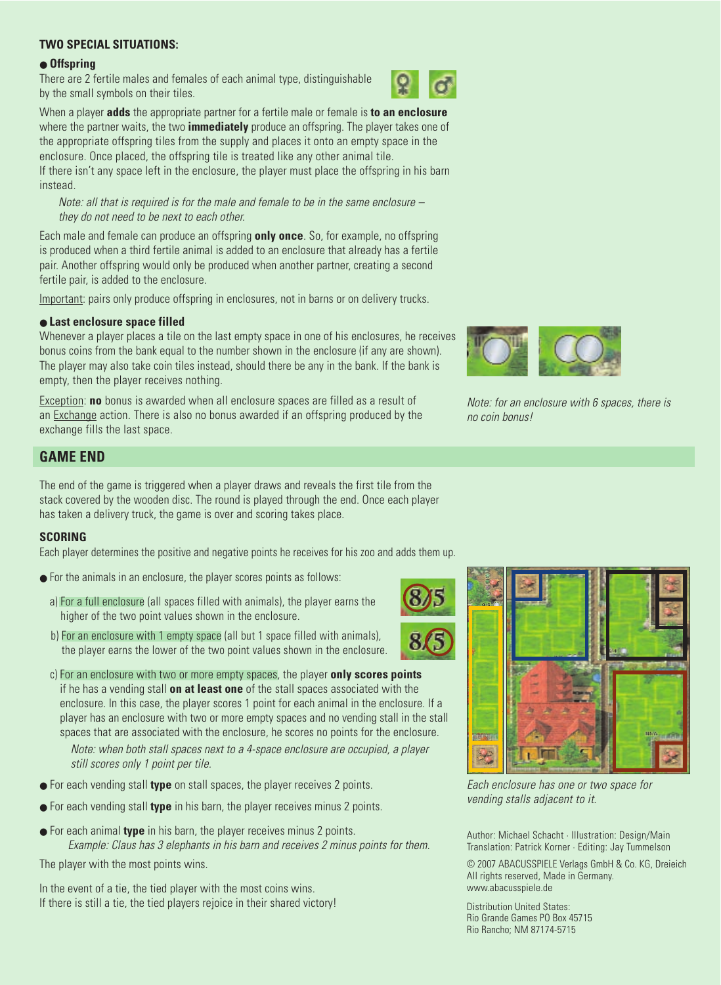### **TWO SPECIAL SITUATIONS:**

#### ● **Offspring**

There are 2 fertile males and females of each animal type, distinguishable by the small symbols on their tiles.



When a player **adds** the appropriate partner for a fertile male or female is **to an enclosure** where the partner waits, the two **immediately** produce an offspring. The player takes one of the appropriate offspring tiles from the supply and places it onto an empty space in the enclosure. Once placed, the offspring tile is treated like any other animal tile.

If there isn't any space left in the enclosure, the player must place the offspring in his barn instead.

Note: all that is required is for the male and female to be in the same enclosure – they do not need to be next to each other.

Each male and female can produce an offspring **only once**. So, for example, no offspring is produced when a third fertile animal is added to an enclosure that already has a fertile pair. Another offspring would only be produced when another partner, creating a second fertile pair, is added to the enclosure.

Important: pairs only produce offspring in enclosures, not in barns or on delivery trucks.

#### ● **Last enclosure space filled**

Whenever a player places a tile on the last empty space in one of his enclosures, he receives bonus coins from the bank equal to the number shown in the enclosure (if any are shown). The player may also take coin tiles instead, should there be any in the bank. If the bank is empty, then the player receives nothing.

Exception: **no** bonus is awarded when all enclosure spaces are filled as a result of an Exchange action. There is also no bonus awarded if an offspring produced by the exchange fills the last space.

# **GAME END**

The end of the game is triggered when a player draws and reveals the first tile from the stack covered by the wooden disc. The round is played through the end. Once each player has taken a delivery truck, the game is over and scoring takes place.

#### **SCORING**

Each player determines the positive and negative points he receives for his zoo and adds them up.

- $\bullet$  For the animals in an enclosure, the player scores points as follows:
	- a) For a full enclosure (all spaces filled with animals), the player earns the higher of the two point values shown in the enclosure.
	- b) For an enclosure with 1 empty space (all but 1 space filled with animals), the player earns the lower of the two point values shown in the enclosure.
	- c) For an enclosure with two or more empty spaces, the player **only scores points** if he has a vending stall **on at least one** of the stall spaces associated with the enclosure. In this case, the player scores 1 point for each animal in the enclosure. If a player has an enclosure with two or more empty spaces and no vending stall in the stall spaces that are associated with the enclosure, he scores no points for the enclosure.

Note: when both stall spaces next to a 4-space enclosure are occupied, a player still scores only 1 point per tile.

- For each vending stall **type** on stall spaces, the player receives 2 points.
- For each vending stall **type** in his barn, the player receives minus 2 points.
- For each animal **type** in his barn, the player receives minus 2 points. Example: Claus has 3 elephants in his barn and receives 2 minus points for them.

The player with the most points wins.

In the event of a tie, the tied player with the most coins wins. If there is still a tie, the tied players rejoice in their shared victory!



Note: for an enclosure with 6 spaces, there is no coin bonus!



Each enclosure has one or two space for vending stalls adjacent to it.

Author: Michael Schacht · Illustration: Design/Main Translation: Patrick Korner · Editing: Jay Tummelson

© 2007 ABACUSSPIELE Verlags GmbH & Co. KG, Dreieich All rights reserved, Made in Germany. www.abacusspiele.de

Distribution United States: Rio Grande Games PO Box 45715 Rio Rancho; NM 87174-5715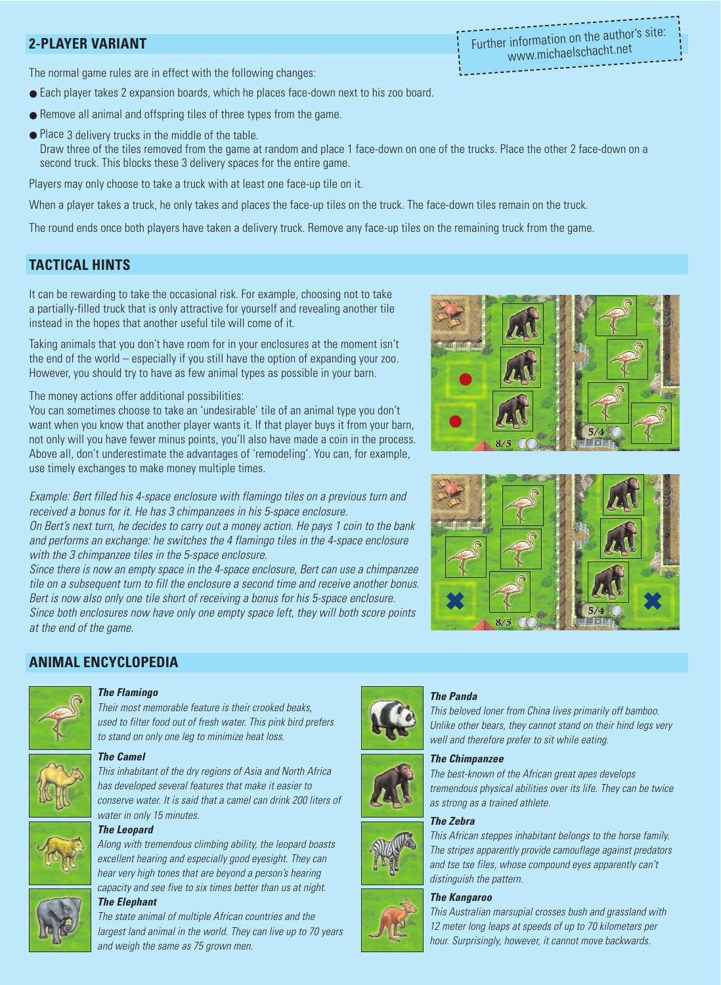# **2-PLAYER VARIANT**

The normal game rules are in effect with the following changes:

- Each player takes 2 expansion boards, which he places face-down next to his zoo board.
- Remove all animal and offspring tiles of three types from the game.
- Place 3 delivery trucks in the middle of the table. Draw three of the tiles removed from the game at random and place 1 face-down on one of the trucks. Place the other 2 face-down on a second truck. This blocks these 3 delivery spaces for the entire game.

Players may only choose to take a truck with at least one face-up tile on it.

When a player takes a truck, he only takes and places the face-up tiles on the truck. The face-down tiles remain on the truck.

The round ends once both players have taken a delivery truck. Remove any face-up tiles on the remaining truck from the game.

# **TACTICAL HINTS**

It can be rewarding to take the occasional risk. For example, choosing not to take a partially-filled truck that is only attractive for yourself and revealing another tile instead in the hopes that another useful tile will come of it.

Taking animals that you don't have room for in your enclosures at the moment isn't the end of the world – especially if you still have the option of expanding your zoo. However, you should try to have as few animal types as possible in your barn.

The money actions offer additional possibilities:

You can sometimes choose to take an 'undesirable' tile of an animal type you don't want when you know that another player wants it. If that player buys it from your barn, not only will you have fewer minus points, you'll also have made a coin in the process. Above all, don't underestimate the advantages of 'remodeling'. You can, for example, use timely exchanges to make money multiple times.

Example: Bert filled his 4-space enclosure with flamingo tiles on a previous turn and received a bonus for it. He has 3 chimpanzees in his 5-space enclosure. On Bert's next turn, he decides to carry out a money action. He pays 1 coin to the bank and performs an exchange: he switches the 4 flamingo tiles in the 4-space enclosure with the 3 chimpanzee tiles in the 5-space enclosure.

Since there is now an empty space in the 4-space enclosure, Bert can use a chimpanzee tile on a subsequent turn to fill the enclosure a second time and receive another bonus. Bert is now also only one tile short of receiving a bonus for his 5-space enclosure. Since both enclosures now have only one empty space left, they will both score points at the end of the game.





# **ANIMAL ENCYCLOPEDIA**



#### **The Flamingo**

Their most memorable feature is their crooked beaks, used to filter food out of fresh water. This pink bird prefers to stand on only one leg to minimize heat loss.

# **The Camel**

This inhabitant of the dry regions of Asia and North Africa has developed several features that make it easier to conserve water. It is said that a camel can drink 200 liters of water in only 15 minutes.

# **The Leopard**

Along with tremendous climbing ability, the leopard boasts excellent hearing and especially good eyesight. They can hear very high tones that are beyond a person's hearing capacity and see five to six times better than us at night.



#### **The Elephant**

The state animal of multiple African countries and the largest land animal in the world. They can live up to 70 years and weigh the same as 75 grown men.



#### **The Panda**

This beloved loner from China lives primarily off bamboo. Unlike other bears, they cannot stand on their hind legs very well and therefore prefer to sit while eating.

#### **The Chimpanzee**

The best-known of the African great apes develops tremendous physical abilities over its life. They can be twice as strong as a trained athlete.

### **The Zebra**

This African steppes inhabitant belongs to the horse family. The stripes apparently provide camouflage against predators and tse tse files, whose compound eyes apparently can't distinguish the pattern.

#### **The Kangaroo**

This Australian marsupial crosses bush and grassland with 12 meter long leaps at speeds of up to 70 kilometers per hour. Surprisingly, however, it cannot move backwards.



Further information on the author's site: www.michaelschacht.net